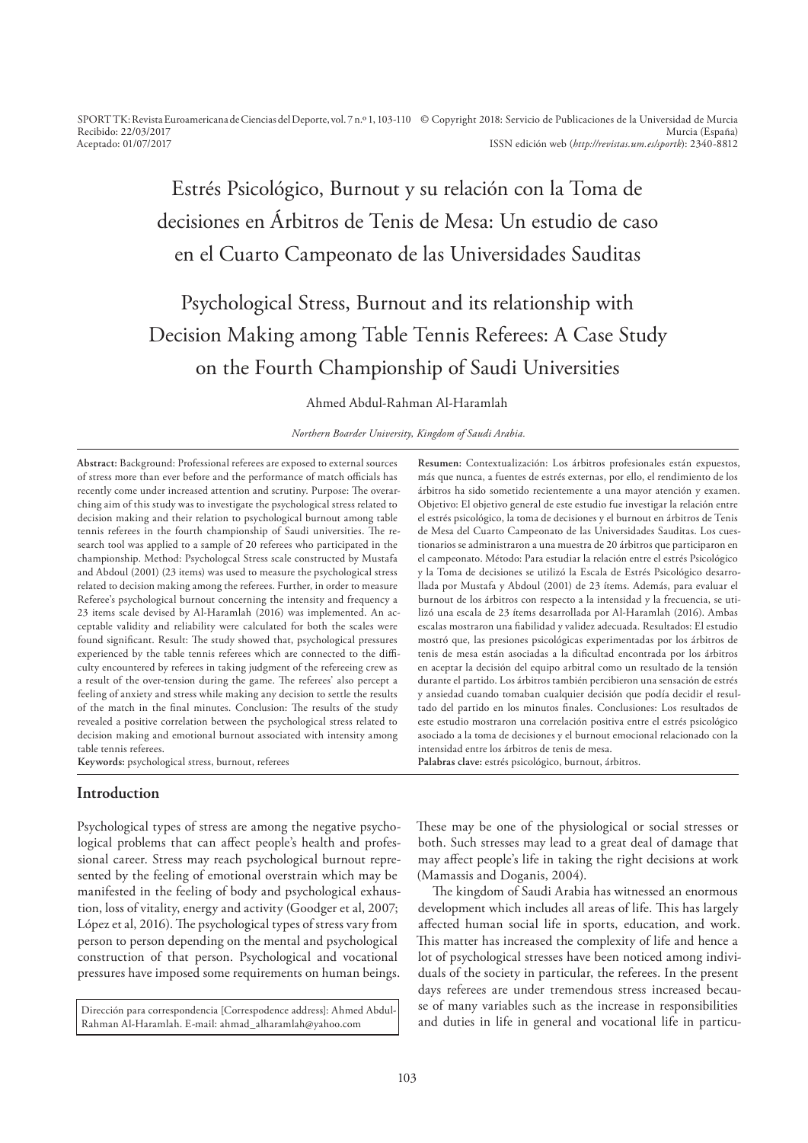SPORT TK: Revista Euroamericana de Ciencias del Deporte, vol. 7 n.º 1, 103-110 © Copyright 2018: Servicio de Publicaciones de la Universidad de Murcia Recibido: 22/03/2017 Aceptado: 01/07/2017 Murcia (España) ISSN edición web (*http://revistas.um.es/sportk*): 2340-8812

# Estrés Psicológico, Burnout y su relación con la Toma de decisiones en Árbitros de Tenis de Mesa: Un estudio de caso en el Cuarto Campeonato de las Universidades Sauditas

# Psychological Stress, Burnout and its relationship with Decision Making among Table Tennis Referees: A Case Study on the Fourth Championship of Saudi Universities

Ahmed Abdul-Rahman Al-Haramlah

*Northern Boarder University, Kingdom of Saudi Arabia.*

**Abstract:** Background: Professional referees are exposed to external sources of stress more than ever before and the performance of match officials has recently come under increased attention and scrutiny. Purpose: The overarching aim of this study was to investigate the psychological stress related to decision making and their relation to psychological burnout among table tennis referees in the fourth championship of Saudi universities. The research tool was applied to a sample of 20 referees who participated in the championship. Method: Psychologcal Stress scale constructed by Mustafa and Abdoul (2001) (23 items) was used to measure the psychological stress related to decision making among the referees. Further, in order to measure Referee's psychological burnout concerning the intensity and frequency a 23 items scale devised by Al-Haramlah (2016) was implemented. An acceptable validity and reliability were calculated for both the scales were found significant. Result: The study showed that, psychological pressures experienced by the table tennis referees which are connected to the difficulty encountered by referees in taking judgment of the refereeing crew as a result of the over-tension during the game. The referees' also percept a feeling of anxiety and stress while making any decision to settle the results of the match in the final minutes. Conclusion: The results of the study revealed a positive correlation between the psychological stress related to decision making and emotional burnout associated with intensity among table tennis referees.

**Keywords:** psychological stress, burnout, referees

# **Introduction**

Psychological types of stress are among the negative psychological problems that can afect people's health and professional career. Stress may reach psychological burnout represented by the feeling of emotional overstrain which may be manifested in the feeling of body and psychological exhaustion, loss of vitality, energy and activity (Goodger et al, 2007; López et al, 2016). The psychological types of stress vary from person to person depending on the mental and psychological construction of that person. Psychological and vocational pressures have imposed some requirements on human beings.

Dirección para correspondencia [Correspodence address]: Ahmed Abdul-Rahman Al-Haramlah. E-mail: ahmad\_alharamlah@yahoo.com

**Resumen:** Contextualización: Los árbitros profesionales están expuestos, más que nunca, a fuentes de estrés externas, por ello, el rendimiento de los árbitros ha sido sometido recientemente a una mayor atención y examen. Objetivo: El objetivo general de este estudio fue investigar la relación entre el estrés psicológico, la toma de decisiones y el burnout en árbitros de Tenis de Mesa del Cuarto Campeonato de las Universidades Sauditas. Los cuestionarios se administraron a una muestra de 20 árbitros que participaron en el campeonato. Método: Para estudiar la relación entre el estrés Psicológico y la Toma de decisiones se utilizó la Escala de Estrés Psicológico desarrollada por Mustafa y Abdoul (2001) de 23 ítems. Además, para evaluar el burnout de los árbitros con respecto a la intensidad y la frecuencia, se utilizó una escala de 23 ítems desarrollada por Al-Haramlah (2016). Ambas escalas mostraron una fiabilidad y validez adecuada. Resultados: El estudio mostró que, las presiones psicológicas experimentadas por los árbitros de tenis de mesa están asociadas a la diicultad encontrada por los árbitros en aceptar la decisión del equipo arbitral como un resultado de la tensión durante el partido. Los árbitros también percibieron una sensación de estrés y ansiedad cuando tomaban cualquier decisión que podía decidir el resultado del partido en los minutos finales. Conclusiones: Los resultados de este estudio mostraron una correlación positiva entre el estrés psicológico asociado a la toma de decisiones y el burnout emocional relacionado con la intensidad entre los árbitros de tenis de mesa. **Palabras clave:** estrés psicológico, burnout, árbitros.

hese may be one of the physiological or social stresses or both. Such stresses may lead to a great deal of damage that may afect people's life in taking the right decisions at work (Mamassis and Doganis, 2004).

he kingdom of Saudi Arabia has witnessed an enormous development which includes all areas of life. This has largely afected human social life in sports, education, and work. his matter has increased the complexity of life and hence a lot of psychological stresses have been noticed among individuals of the society in particular, the referees. In the present days referees are under tremendous stress increased because of many variables such as the increase in responsibilities and duties in life in general and vocational life in particu-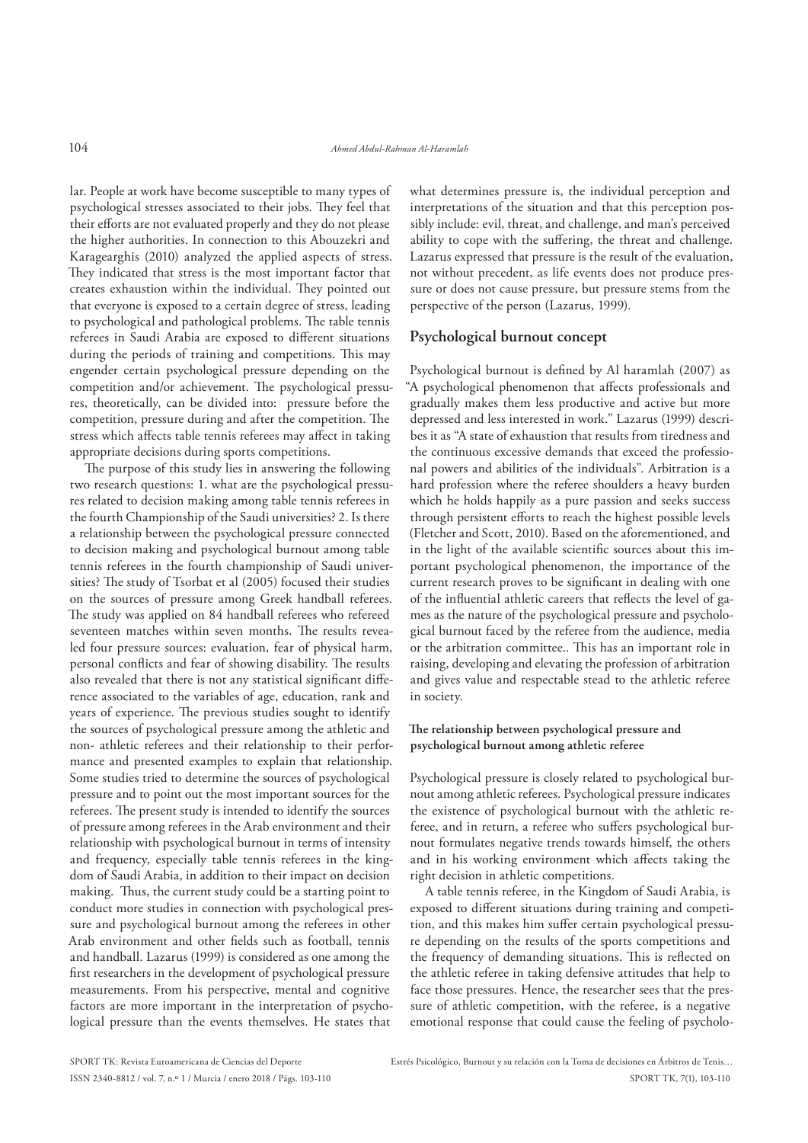lar. People at work have become susceptible to many types of psychological stresses associated to their jobs. They feel that their efforts are not evaluated properly and they do not please the higher authorities. In connection to this Abouzekri and Karagearghis (2010) analyzed the applied aspects of stress. They indicated that stress is the most important factor that creates exhaustion within the individual. They pointed out that everyone is exposed to a certain degree of stress, leading to psychological and pathological problems. The table tennis referees in Saudi Arabia are exposed to diferent situations during the periods of training and competitions. This may engender certain psychological pressure depending on the competition and/or achievement. The psychological pressures, theoretically, can be divided into: pressure before the competition, pressure during and after the competition. The stress which afects table tennis referees may afect in taking appropriate decisions during sports competitions.

The purpose of this study lies in answering the following two research questions: 1. what are the psychological pressures related to decision making among table tennis referees in the fourth Championship of the Saudi universities? 2. Is there a relationship between the psychological pressure connected to decision making and psychological burnout among table tennis referees in the fourth championship of Saudi universities? The study of Tsorbat et al (2005) focused their studies on the sources of pressure among Greek handball referees. The study was applied on 84 handball referees who refereed seventeen matches within seven months. The results revealed four pressure sources: evaluation, fear of physical harm, personal conflicts and fear of showing disability. The results also revealed that there is not any statistical significant difference associated to the variables of age, education, rank and years of experience. The previous studies sought to identify the sources of psychological pressure among the athletic and non- athletic referees and their relationship to their performance and presented examples to explain that relationship. Some studies tried to determine the sources of psychological pressure and to point out the most important sources for the referees. The present study is intended to identify the sources of pressure among referees in the Arab environment and their relationship with psychological burnout in terms of intensity and frequency, especially table tennis referees in the kingdom of Saudi Arabia, in addition to their impact on decision making. Thus, the current study could be a starting point to conduct more studies in connection with psychological pressure and psychological burnout among the referees in other Arab environment and other fields such as football, tennis and handball. Lazarus (1999) is considered as one among the first researchers in the development of psychological pressure measurements. From his perspective, mental and cognitive factors are more important in the interpretation of psychological pressure than the events themselves. He states that

what determines pressure is, the individual perception and interpretations of the situation and that this perception possibly include: evil, threat, and challenge, and man's perceived ability to cope with the sufering, the threat and challenge. Lazarus expressed that pressure is the result of the evaluation, not without precedent, as life events does not produce pressure or does not cause pressure, but pressure stems from the perspective of the person (Lazarus, 1999).

# **Psychological burnout concept**

Psychological burnout is defined by Al haramlah (2007) as "A psychological phenomenon that afects professionals and gradually makes them less productive and active but more depressed and less interested in work." Lazarus (1999) describes it as "A state of exhaustion that results from tiredness and the continuous excessive demands that exceed the professional powers and abilities of the individuals". Arbitration is a hard profession where the referee shoulders a heavy burden which he holds happily as a pure passion and seeks success through persistent efforts to reach the highest possible levels (Fletcher and Scott, 2010). Based on the aforementioned, and in the light of the available scientific sources about this important psychological phenomenon, the importance of the current research proves to be significant in dealing with one of the inluential athletic careers that relects the level of games as the nature of the psychological pressure and psychological burnout faced by the referee from the audience, media or the arbitration committee.. This has an important role in raising, developing and elevating the profession of arbitration and gives value and respectable stead to the athletic referee in society.

# **he relationship between psychological pressure and psychological burnout among athletic referee**

Psychological pressure is closely related to psychological burnout among athletic referees. Psychological pressure indicates the existence of psychological burnout with the athletic referee, and in return, a referee who sufers psychological burnout formulates negative trends towards himself, the others and in his working environment which afects taking the right decision in athletic competitions.

A table tennis referee, in the Kingdom of Saudi Arabia, is exposed to diferent situations during training and competition, and this makes him sufer certain psychological pressure depending on the results of the sports competitions and the frequency of demanding situations. This is reflected on the athletic referee in taking defensive attitudes that help to face those pressures. Hence, the researcher sees that the pressure of athletic competition, with the referee, is a negative emotional response that could cause the feeling of psycholo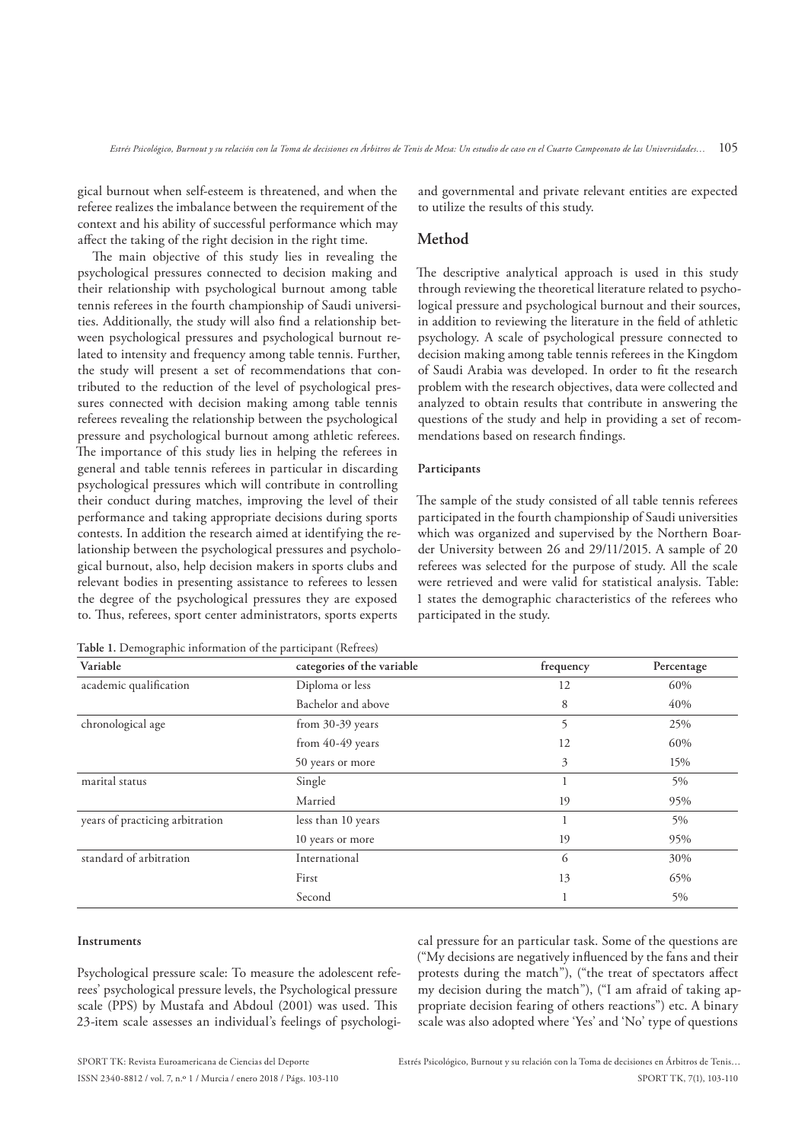gical burnout when self-esteem is threatened, and when the referee realizes the imbalance between the requirement of the context and his ability of successful performance which may afect the taking of the right decision in the right time.

he main objective of this study lies in revealing the psychological pressures connected to decision making and their relationship with psychological burnout among table tennis referees in the fourth championship of Saudi universities. Additionally, the study will also find a relationship between psychological pressures and psychological burnout related to intensity and frequency among table tennis. Further, the study will present a set of recommendations that contributed to the reduction of the level of psychological pressures connected with decision making among table tennis referees revealing the relationship between the psychological pressure and psychological burnout among athletic referees. The importance of this study lies in helping the referees in general and table tennis referees in particular in discarding psychological pressures which will contribute in controlling their conduct during matches, improving the level of their performance and taking appropriate decisions during sports contests. In addition the research aimed at identifying the relationship between the psychological pressures and psychological burnout, also, help decision makers in sports clubs and relevant bodies in presenting assistance to referees to lessen the degree of the psychological pressures they are exposed to. hus, referees, sport center administrators, sports experts

**Table 1.** Demographic information of the participant (Refrees)

and governmental and private relevant entities are expected to utilize the results of this study.

#### **Method**

The descriptive analytical approach is used in this study through reviewing the theoretical literature related to psychological pressure and psychological burnout and their sources, in addition to reviewing the literature in the field of athletic psychology. A scale of psychological pressure connected to decision making among table tennis referees in the Kingdom of Saudi Arabia was developed. In order to fit the research problem with the research objectives, data were collected and analyzed to obtain results that contribute in answering the questions of the study and help in providing a set of recommendations based on research findings.

#### **Participants**

he sample of the study consisted of all table tennis referees participated in the fourth championship of Saudi universities which was organized and supervised by the Northern Boarder University between 26 and 29/11/2015. A sample of 20 referees was selected for the purpose of study. All the scale were retrieved and were valid for statistical analysis. Table: 1 states the demographic characteristics of the referees who participated in the study.

| Variable                        | categories of the variable | frequency | Percentage |
|---------------------------------|----------------------------|-----------|------------|
| academic qualification          | Diploma or less            | 12        | 60%        |
|                                 | Bachelor and above         | 8         | 40%        |
| chronological age               | from 30-39 years           | 5         | 25%        |
|                                 | from 40-49 years           | 12        | 60%        |
|                                 | 50 years or more           | 3         | 15%        |
| marital status                  | Single                     |           | 5%         |
|                                 | Married                    | 19        | 95%        |
| years of practicing arbitration | less than 10 years         |           | 5%         |
|                                 | 10 years or more           | 19        | 95%        |
| standard of arbitration         | International              | 6         | 30%        |
|                                 | First                      | 13        | 65%        |
|                                 | Second                     |           | 5%         |

#### **Instruments**

Psychological pressure scale: To measure the adolescent referees' psychological pressure levels, the Psychological pressure scale (PPS) by Mustafa and Abdoul (2001) was used. This 23-item scale assesses an individual's feelings of psychological pressure for an particular task. Some of the questions are ("My decisions are negatively inluenced by the fans and their protests during the match"), ("the treat of spectators afect my decision during the match"), ("I am afraid of taking appropriate decision fearing of others reactions") etc. A binary scale was also adopted where 'Yes' and 'No' type of questions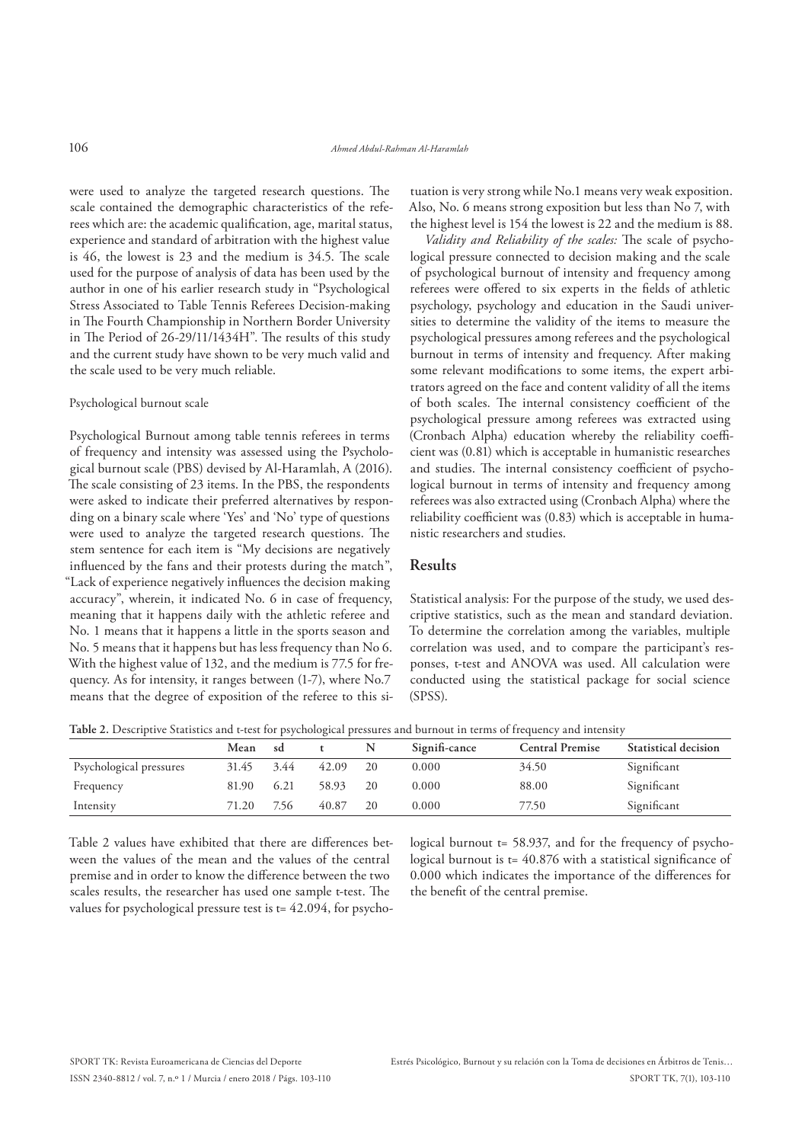were used to analyze the targeted research questions. The scale contained the demographic characteristics of the referees which are: the academic qualification, age, marital status, experience and standard of arbitration with the highest value is 46, the lowest is 23 and the medium is 34.5. he scale used for the purpose of analysis of data has been used by the author in one of his earlier research study in "Psychological Stress Associated to Table Tennis Referees Decision-making in The Fourth Championship in Northern Border University in The Period of 26-29/11/1434H". The results of this study and the current study have shown to be very much valid and the scale used to be very much reliable.

#### Psychological burnout scale

Psychological Burnout among table tennis referees in terms of frequency and intensity was assessed using the Psychological burnout scale (PBS) devised by Al-Haramlah, A (2016). The scale consisting of 23 items. In the PBS, the respondents were asked to indicate their preferred alternatives by responding on a binary scale where 'Yes' and 'No' type of questions were used to analyze the targeted research questions. The stem sentence for each item is "My decisions are negatively influenced by the fans and their protests during the match", "Lack of experience negatively inluences the decision making accuracy", wherein, it indicated No. 6 in case of frequency, meaning that it happens daily with the athletic referee and No. 1 means that it happens a little in the sports season and No. 5 means that it happens but has less frequency than No 6. With the highest value of 132, and the medium is 77.5 for frequency. As for intensity, it ranges between (1-7), where No.7 means that the degree of exposition of the referee to this situation is very strong while No.1 means very weak exposition. Also, No. 6 means strong exposition but less than No 7, with the highest level is 154 the lowest is 22 and the medium is 88.

*Validity and Reliability of the scales:* he scale of psychological pressure connected to decision making and the scale of psychological burnout of intensity and frequency among referees were offered to six experts in the fields of athletic psychology, psychology and education in the Saudi universities to determine the validity of the items to measure the psychological pressures among referees and the psychological burnout in terms of intensity and frequency. After making some relevant modifications to some items, the expert arbitrators agreed on the face and content validity of all the items of both scales. The internal consistency coefficient of the psychological pressure among referees was extracted using (Cronbach Alpha) education whereby the reliability coefficient was (0.81) which is acceptable in humanistic researches and studies. The internal consistency coefficient of psychological burnout in terms of intensity and frequency among referees was also extracted using (Cronbach Alpha) where the reliability coefficient was (0.83) which is acceptable in humanistic researchers and studies.

#### **Results**

Statistical analysis: For the purpose of the study, we used descriptive statistics, such as the mean and standard deviation. To determine the correlation among the variables, multiple correlation was used, and to compare the participant's responses, t-test and ANOVA was used. All calculation were conducted using the statistical package for social science (SPSS).

**Table 2.** Descriptive Statistics and t-test for psychological pressures and burnout in terms of frequency and intensity

|                         | Mean  | sd   |       | N  | Signifi-cance | <b>Central Premise</b> | Statistical decision |
|-------------------------|-------|------|-------|----|---------------|------------------------|----------------------|
| Psychological pressures | 31.45 | 3.44 | 42.09 | 20 | 0.000         | 34.50                  | Significant          |
| Frequency               | 81.90 | 6.21 | 58.93 | 20 | 0.000         | 88.00                  | Significant          |
| Intensity               | 71.20 | 7.56 | 40.87 | 20 | 0.000         | 77.50                  | Significant          |

Table 2 values have exhibited that there are diferences between the values of the mean and the values of the central premise and in order to know the diference between the two scales results, the researcher has used one sample t-test. The values for psychological pressure test is t= 42.094, for psychological burnout t= 58.937, and for the frequency of psychological burnout is  $t = 40.876$  with a statistical significance of 0.000 which indicates the importance of the diferences for the benefit of the central premise.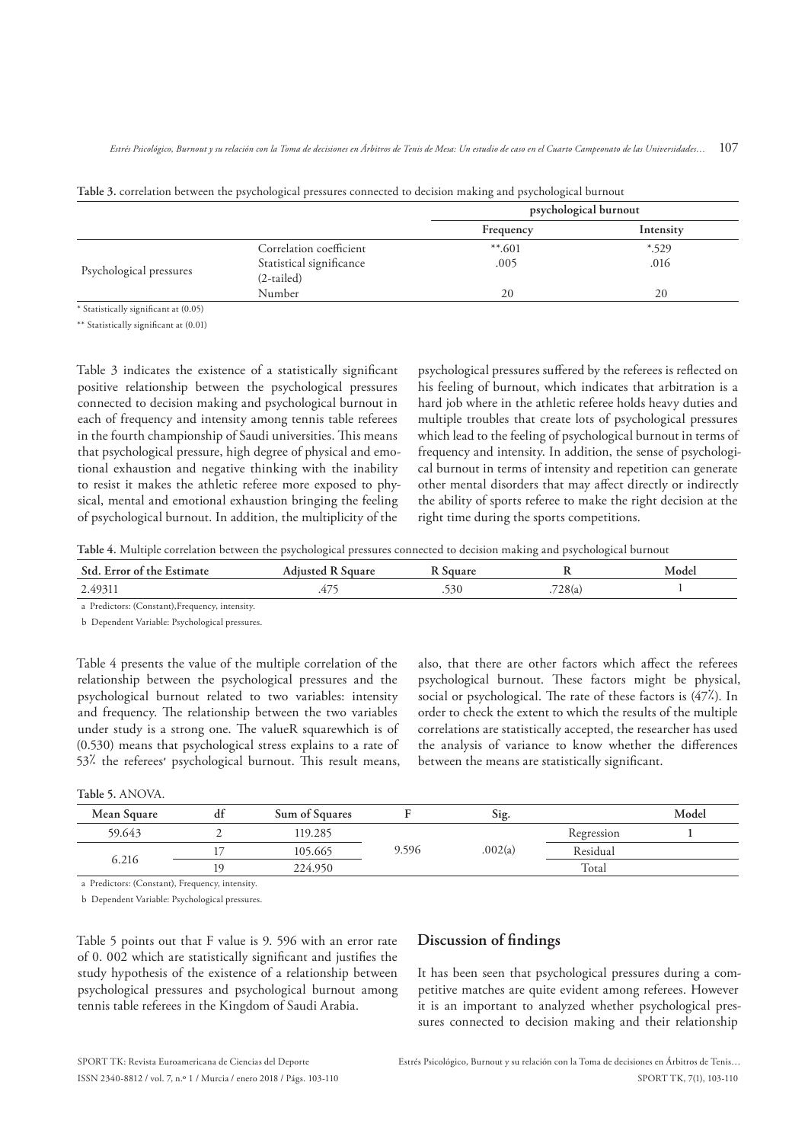|                         |                          | psychological burnout |           |
|-------------------------|--------------------------|-----------------------|-----------|
|                         |                          | Frequency             | Intensity |
|                         | Correlation coefficient  | $***.601$             | $*$ .529  |
|                         | Statistical significance | .005                  | .016      |
| Psychological pressures | (2-tailed)               |                       |           |
|                         | Number                   | 20                    | 20        |

| Table 3. correlation between the psychological pressures connected to decision making and psychological burnout |  |  |  |  |
|-----------------------------------------------------------------------------------------------------------------|--|--|--|--|
|-----------------------------------------------------------------------------------------------------------------|--|--|--|--|

\* Statistically signiicant at (0.05)

\*\* Statistically significant at (0.01)

Table 3 indicates the existence of a statistically significant positive relationship between the psychological pressures connected to decision making and psychological burnout in each of frequency and intensity among tennis table referees in the fourth championship of Saudi universities. This means that psychological pressure, high degree of physical and emotional exhaustion and negative thinking with the inability to resist it makes the athletic referee more exposed to physical, mental and emotional exhaustion bringing the feeling of psychological burnout. In addition, the multiplicity of the

psychological pressures sufered by the referees is relected on his feeling of burnout, which indicates that arbitration is a hard job where in the athletic referee holds heavy duties and multiple troubles that create lots of psychological pressures which lead to the feeling of psychological burnout in terms of frequency and intensity. In addition, the sense of psychological burnout in terms of intensity and repetition can generate other mental disorders that may afect directly or indirectly the ability of sports referee to make the right decision at the right time during the sports competitions.

**Table 4.** Multiple correlation between the psychological pressures connected to decision making and psychological burnout

| Std.<br>: Estimate<br>- Error of the | 0110B<br>$A$ duuntoc            | $\sim$ $\sim$ $\sim$ |        | Model |
|--------------------------------------|---------------------------------|----------------------|--------|-------|
| 2.49311                              | $\overline{\phantom{a}}$<br>.4/ | 530                  | 728(a) |       |
|                                      |                                 |                      |        |       |

a Predictors: (Constant),Frequency, intensity.

b Dependent Variable: Psychological pressures.

Table 4 presents the value of the multiple correlation of the relationship between the psychological pressures and the psychological burnout related to two variables: intensity and frequency. The relationship between the two variables under study is a strong one. The valueR squarewhich is of (0.530) means that psychological stress explains to a rate of 53<sup>%</sup> the referees' psychological burnout. This result means, also, that there are other factors which afect the referees psychological burnout. These factors might be physical, social or psychological. The rate of these factors is  $(47<sup>2</sup>)$ . In order to check the extent to which the results of the multiple correlations are statistically accepted, the researcher has used the analysis of variance to know whether the diferences between the means are statistically significant.

**Table 5.** ANOVA.

| Mean Square | df | Sum of Squares |       | Sig.    |            | Model |
|-------------|----|----------------|-------|---------|------------|-------|
| 59.643      |    | 119.285        |       |         | Regression |       |
|             |    | 105.665        | 9.596 | .002(a) | Residual   |       |
| 6.216<br>19 |    | 224.950        |       |         | Total      |       |

a Predictors: (Constant), Frequency, intensity.

b Dependent Variable: Psychological pressures.

Table 5 points out that F value is 9. 596 with an error rate of 0. 002 which are statistically significant and justifies the study hypothesis of the existence of a relationship between psychological pressures and psychological burnout among tennis table referees in the Kingdom of Saudi Arabia.

# **Discussion of indings**

It has been seen that psychological pressures during a competitive matches are quite evident among referees. However it is an important to analyzed whether psychological pressures connected to decision making and their relationship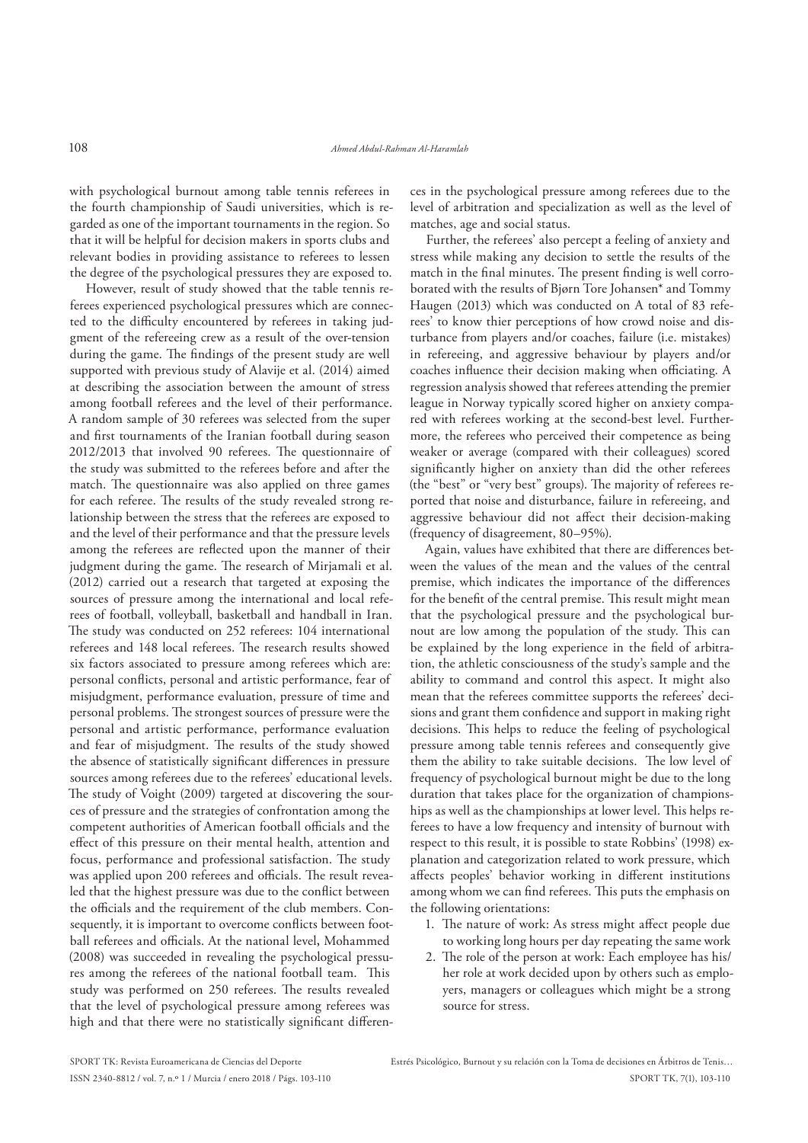with psychological burnout among table tennis referees in the fourth championship of Saudi universities, which is regarded as one of the important tournaments in the region. So that it will be helpful for decision makers in sports clubs and relevant bodies in providing assistance to referees to lessen the degree of the psychological pressures they are exposed to.

However, result of study showed that the table tennis referees experienced psychological pressures which are connected to the difficulty encountered by referees in taking judgment of the refereeing crew as a result of the over-tension during the game. The findings of the present study are well supported with previous study of Alavije et al. (2014) aimed at describing the association between the amount of stress among football referees and the level of their performance. A random sample of 30 referees was selected from the super and first tournaments of the Iranian football during season 2012/2013 that involved 90 referees. The questionnaire of the study was submitted to the referees before and after the match. The questionnaire was also applied on three games for each referee. The results of the study revealed strong relationship between the stress that the referees are exposed to and the level of their performance and that the pressure levels among the referees are relected upon the manner of their judgment during the game. The research of Mirjamali et al. (2012) carried out a research that targeted at exposing the sources of pressure among the international and local referees of football, volleyball, basketball and handball in Iran. The study was conducted on 252 referees: 104 international referees and 148 local referees. The research results showed six factors associated to pressure among referees which are: personal conlicts, personal and artistic performance, fear of misjudgment, performance evaluation, pressure of time and personal problems. The strongest sources of pressure were the personal and artistic performance, performance evaluation and fear of misjudgment. The results of the study showed the absence of statistically significant differences in pressure sources among referees due to the referees' educational levels. The study of Voight (2009) targeted at discovering the sources of pressure and the strategies of confrontation among the competent authorities of American football officials and the efect of this pressure on their mental health, attention and focus, performance and professional satisfaction. The study was applied upon 200 referees and officials. The result revealed that the highest pressure was due to the conflict between the officials and the requirement of the club members. Consequently, it is important to overcome conflicts between football referees and officials. At the national level, Mohammed (2008) was succeeded in revealing the psychological pressures among the referees of the national football team. This study was performed on 250 referees. The results revealed that the level of psychological pressure among referees was high and that there were no statistically significant differences in the psychological pressure among referees due to the level of arbitration and specialization as well as the level of matches, age and social status.

Further, the referees' also percept a feeling of anxiety and stress while making any decision to settle the results of the match in the final minutes. The present finding is well corroborated with the results of Bjørn Tore Johansen\* and Tommy Haugen (2013) which was conducted on A total of 83 referees' to know thier perceptions of how crowd noise and disturbance from players and/or coaches, failure (i.e. mistakes) in refereeing, and aggressive behaviour by players and/or coaches influence their decision making when officiating. A regression analysis showed that referees attending the premier league in Norway typically scored higher on anxiety compared with referees working at the second-best level. Furthermore, the referees who perceived their competence as being weaker or average (compared with their colleagues) scored significantly higher on anxiety than did the other referees (the "best" or "very best" groups). The majority of referees reported that noise and disturbance, failure in refereeing, and aggressive behaviour did not afect their decision-making (frequency of disagreement, 80–95%).

Again, values have exhibited that there are diferences between the values of the mean and the values of the central premise, which indicates the importance of the diferences for the benefit of the central premise. This result might mean that the psychological pressure and the psychological burnout are low among the population of the study. This can be explained by the long experience in the field of arbitration, the athletic consciousness of the study's sample and the ability to command and control this aspect. It might also mean that the referees committee supports the referees' decisions and grant them confidence and support in making right decisions. This helps to reduce the feeling of psychological pressure among table tennis referees and consequently give them the ability to take suitable decisions. The low level of frequency of psychological burnout might be due to the long duration that takes place for the organization of championships as well as the championships at lower level. This helps referees to have a low frequency and intensity of burnout with respect to this result, it is possible to state Robbins' (1998) explanation and categorization related to work pressure, which afects peoples' behavior working in diferent institutions among whom we can find referees. This puts the emphasis on the following orientations:

- 1. The nature of work: As stress might affect people due to working long hours per day repeating the same work
- 2. The role of the person at work: Each employee has his/ her role at work decided upon by others such as employers, managers or colleagues which might be a strong source for stress.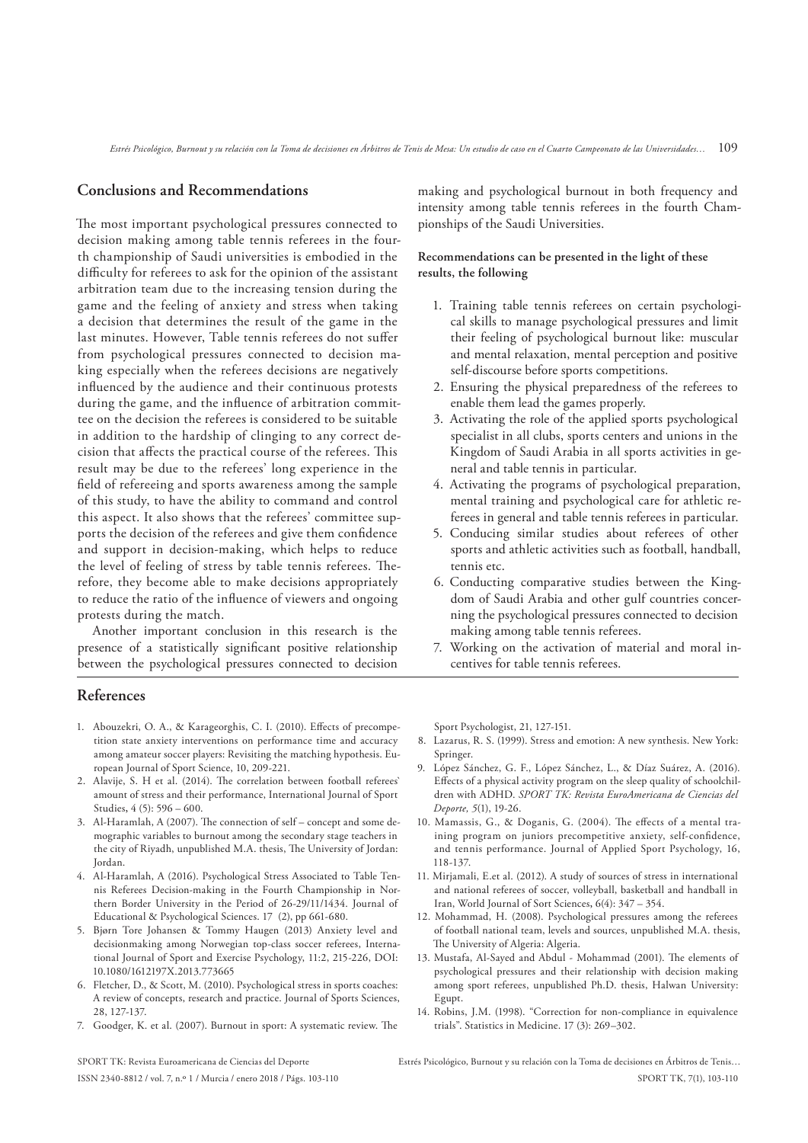### **Conclusions and Recommendations**

he most important psychological pressures connected to decision making among table tennis referees in the fourth championship of Saudi universities is embodied in the difficulty for referees to ask for the opinion of the assistant arbitration team due to the increasing tension during the game and the feeling of anxiety and stress when taking a decision that determines the result of the game in the last minutes. However, Table tennis referees do not sufer from psychological pressures connected to decision making especially when the referees decisions are negatively influenced by the audience and their continuous protests during the game, and the influence of arbitration committee on the decision the referees is considered to be suitable in addition to the hardship of clinging to any correct decision that affects the practical course of the referees. This result may be due to the referees' long experience in the field of refereeing and sports awareness among the sample of this study, to have the ability to command and control this aspect. It also shows that the referees' committee supports the decision of the referees and give them confidence and support in decision-making, which helps to reduce the level of feeling of stress by table tennis referees. Therefore, they become able to make decisions appropriately to reduce the ratio of the inluence of viewers and ongoing protests during the match.

Another important conclusion in this research is the presence of a statistically significant positive relationship between the psychological pressures connected to decision

# **References**

- 1. Abouzekri, O. A., & Karageorghis, C. I. (2010). Efects of precompetition state anxiety interventions on performance time and accuracy among amateur soccer players: Revisiting the matching hypothesis. European Journal of Sport Science, 10, 209-221.
- 2. Alavije, S. H et al. (2014). The correlation between football referees` amount of stress and their performance, International Journal of Sport Studies**,** 4 (5): 596 – 600.
- 3. Al-Haramlah, A (2007). The connection of self concept and some demographic variables to burnout among the secondary stage teachers in the city of Riyadh, unpublished M.A. thesis, The University of Jordan: Jordan.
- 4. Al-Haramlah, A (2016). Psychological Stress Associated to Table Tennis Referees Decision-making in the Fourth Championship in Northern Border University in the Period of 26-29/11/1434. Journal of Educational & Psychological Sciences. 17 (2), pp 661-680.
- 5. Bjørn Tore Johansen & Tommy Haugen (2013) Anxiety level and decisionmaking among Norwegian top-class soccer referees, International Journal of Sport and Exercise Psychology, 11:2, 215-226, DOI: 10.1080/1612197X.2013.773665
- 6. Fletcher, D., & Scott, M. (2010). Psychological stress in sports coaches: A review of concepts, research and practice. Journal of Sports Sciences, 28, 127-137.
- 7. Goodger, K. et al. (2007). Burnout in sport: A systematic review. The

making and psychological burnout in both frequency and intensity among table tennis referees in the fourth Championships of the Saudi Universities.

#### **Recommendations can be presented in the light of these results, the following**

- 1. Training table tennis referees on certain psychological skills to manage psychological pressures and limit their feeling of psychological burnout like: muscular and mental relaxation, mental perception and positive self-discourse before sports competitions.
- 2. Ensuring the physical preparedness of the referees to enable them lead the games properly.
- 3. Activating the role of the applied sports psychological specialist in all clubs, sports centers and unions in the Kingdom of Saudi Arabia in all sports activities in general and table tennis in particular.
- 4. Activating the programs of psychological preparation, mental training and psychological care for athletic referees in general and table tennis referees in particular.
- 5. Conducing similar studies about referees of other sports and athletic activities such as football, handball, tennis etc.
- 6. Conducting comparative studies between the Kingdom of Saudi Arabia and other gulf countries concerning the psychological pressures connected to decision making among table tennis referees.
- 7. Working on the activation of material and moral incentives for table tennis referees.

Sport Psychologist, 21, 127-151.

- 8. Lazarus, R. S. (1999). Stress and emotion: A new synthesis. New York: Springer.
- 9. López Sánchez, G. F., López Sánchez, L., & Díaz Suárez, A. (2016). Efects of a physical activity program on the sleep quality of schoolchildren with ADHD. *SPORT TK: Revista EuroAmericana de Ciencias del Deporte, 5*(1), 19-26.
- 10. Mamassis, G., & Doganis, G. (2004). The effects of a mental training program on juniors precompetitive anxiety, self-confidence, and tennis performance. Journal of Applied Sport Psychology, 16, 118-137.
- 11. Mirjamali, E.et al. (2012). A study of sources of stress in international and national referees of soccer, volleyball, basketball and handball in Iran, World Journal of Sort Sciences**,** 6(4): 347 – 354.
- 12. Mohammad, H. (2008). Psychological pressures among the referees of football national team, levels and sources, unpublished M.A. thesis, The University of Algeria: Algeria.
- 13. Mustafa, Al-Sayed and Abdul Mohammad (2001). The elements of psychological pressures and their relationship with decision making among sport referees, unpublished Ph.D. thesis, Halwan University: Egupt.
- 14. Robins, J.M. (1998). "Correction for non-compliance in equivalence trials". Statistics in Medicine. 17 (3): 269–302.

SPORT TK: Revista Euroamericana de Ciencias del Deporte ISSN 2340-8812 / vol. 7, n.º 1 / Murcia / enero 2018 / Págs. 103-110 Estrés Psicológico, Burnout y su relación con la Toma de decisiones en Árbitros de Tenis… SPORT TK, 7(1), 103-110